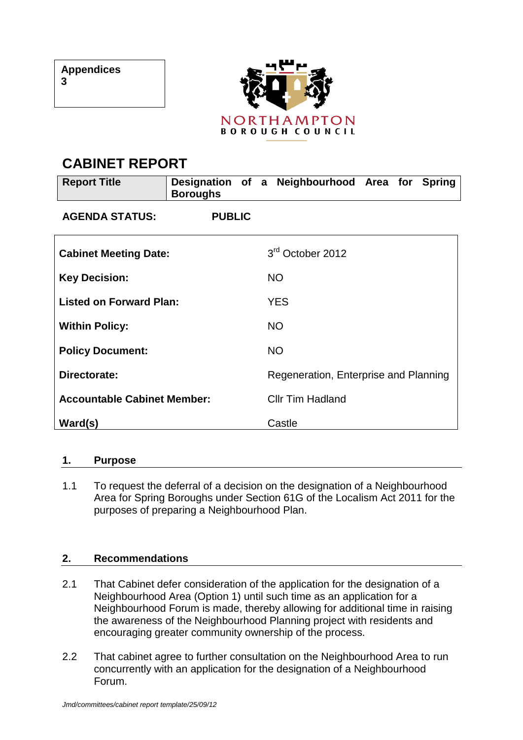

# **CABINET REPORT**

| <b>Report Title</b>                | Designation of a Neighbourhood Area for<br><b>Boroughs</b> |  |                                       |  |  |  | <b>Spring</b> |  |
|------------------------------------|------------------------------------------------------------|--|---------------------------------------|--|--|--|---------------|--|
| <b>AGENDA STATUS:</b>              | <b>PUBLIC</b>                                              |  |                                       |  |  |  |               |  |
| <b>Cabinet Meeting Date:</b>       |                                                            |  | 3 <sup>rd</sup> October 2012          |  |  |  |               |  |
| <b>Key Decision:</b>               |                                                            |  | <b>NO</b>                             |  |  |  |               |  |
| <b>Listed on Forward Plan:</b>     |                                                            |  | <b>YES</b>                            |  |  |  |               |  |
| <b>Within Policy:</b>              |                                                            |  | <b>NO</b>                             |  |  |  |               |  |
| <b>Policy Document:</b>            |                                                            |  | <b>NO</b>                             |  |  |  |               |  |
| Directorate:                       |                                                            |  | Regeneration, Enterprise and Planning |  |  |  |               |  |
| <b>Accountable Cabinet Member:</b> |                                                            |  | <b>Cllr Tim Hadland</b>               |  |  |  |               |  |
| Ward(s)                            |                                                            |  | Castle                                |  |  |  |               |  |

#### **1. Purpose**

1.1 To request the deferral of a decision on the designation of a Neighbourhood Area for Spring Boroughs under Section 61G of the Localism Act 2011 for the purposes of preparing a Neighbourhood Plan.

# **2. Recommendations**

- 2.1 That Cabinet defer consideration of the application for the designation of a Neighbourhood Area (Option 1) until such time as an application for a Neighbourhood Forum is made, thereby allowing for additional time in raising the awareness of the Neighbourhood Planning project with residents and encouraging greater community ownership of the process.
- 2.2 That cabinet agree to further consultation on the Neighbourhood Area to run concurrently with an application for the designation of a Neighbourhood Forum.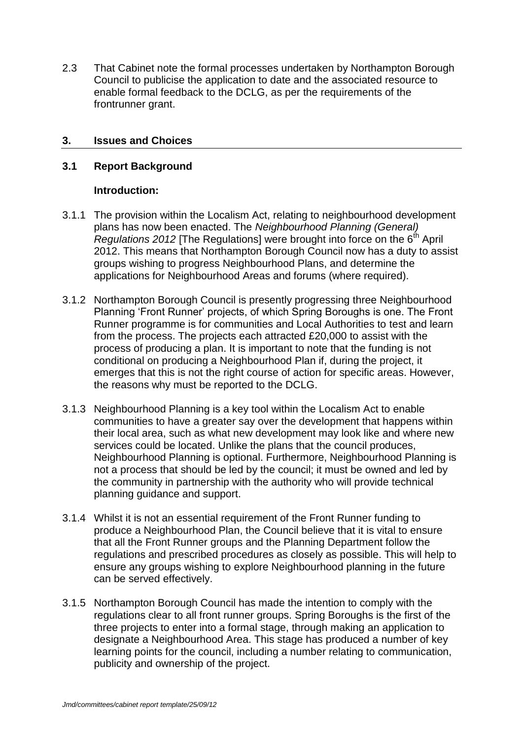2.3 That Cabinet note the formal processes undertaken by Northampton Borough Council to publicise the application to date and the associated resource to enable formal feedback to the DCLG, as per the requirements of the frontrunner grant.

## **3. Issues and Choices**

## **3.1 Report Background**

## **Introduction:**

- 3.1.1 The provision within the Localism Act, relating to neighbourhood development plans has now been enacted. The *Neighbourhood Planning (General) Regulations 2012* [The Regulations] were brought into force on the 6<sup>th</sup> April 2012. This means that Northampton Borough Council now has a duty to assist groups wishing to progress Neighbourhood Plans, and determine the applications for Neighbourhood Areas and forums (where required).
- 3.1.2 Northampton Borough Council is presently progressing three Neighbourhood Planning "Front Runner" projects, of which Spring Boroughs is one. The Front Runner programme is for communities and Local Authorities to test and learn from the process. The projects each attracted £20,000 to assist with the process of producing a plan. It is important to note that the funding is not conditional on producing a Neighbourhood Plan if, during the project, it emerges that this is not the right course of action for specific areas. However, the reasons why must be reported to the DCLG.
- 3.1.3 Neighbourhood Planning is a key tool within the Localism Act to enable communities to have a greater say over the development that happens within their local area, such as what new development may look like and where new services could be located. Unlike the plans that the council produces, Neighbourhood Planning is optional. Furthermore, Neighbourhood Planning is not a process that should be led by the council; it must be owned and led by the community in partnership with the authority who will provide technical planning guidance and support.
- 3.1.4 Whilst it is not an essential requirement of the Front Runner funding to produce a Neighbourhood Plan, the Council believe that it is vital to ensure that all the Front Runner groups and the Planning Department follow the regulations and prescribed procedures as closely as possible. This will help to ensure any groups wishing to explore Neighbourhood planning in the future can be served effectively.
- 3.1.5 Northampton Borough Council has made the intention to comply with the regulations clear to all front runner groups. Spring Boroughs is the first of the three projects to enter into a formal stage, through making an application to designate a Neighbourhood Area. This stage has produced a number of key learning points for the council, including a number relating to communication, publicity and ownership of the project.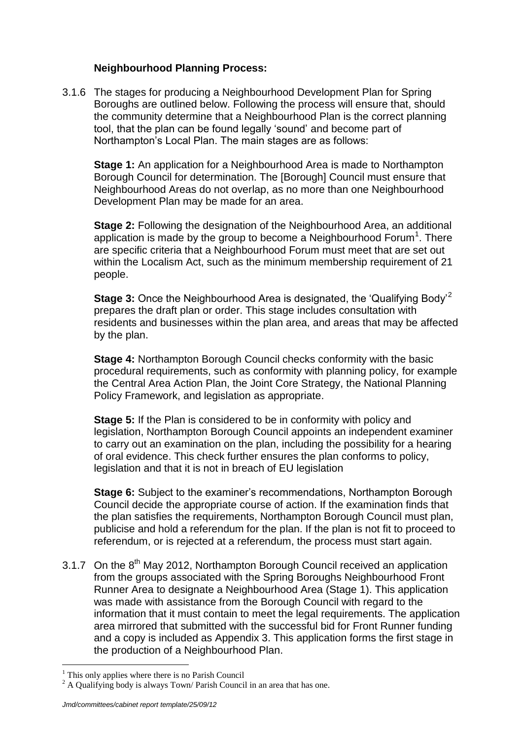# **Neighbourhood Planning Process:**

3.1.6 The stages for producing a Neighbourhood Development Plan for Spring Boroughs are outlined below. Following the process will ensure that, should the community determine that a Neighbourhood Plan is the correct planning tool, that the plan can be found legally "sound" and become part of Northampton"s Local Plan. The main stages are as follows:

**Stage 1:** An application for a Neighbourhood Area is made to Northampton Borough Council for determination. The [Borough] Council must ensure that Neighbourhood Areas do not overlap, as no more than one Neighbourhood Development Plan may be made for an area.

**Stage 2:** Following the designation of the Neighbourhood Area, an additional application is made by the group to become a Neighbourhood Forum<sup>1</sup>. There are specific criteria that a Neighbourhood Forum must meet that are set out within the Localism Act, such as the minimum membership requirement of 21 people.

**Stage 3:** Once the Neighbourhood Area is designated, the 'Qualifying Body'<sup>2</sup> prepares the draft plan or order. This stage includes consultation with residents and businesses within the plan area, and areas that may be affected by the plan.

**Stage 4:** Northampton Borough Council checks conformity with the basic procedural requirements, such as conformity with planning policy, for example the Central Area Action Plan, the Joint Core Strategy, the National Planning Policy Framework, and legislation as appropriate.

**Stage 5:** If the Plan is considered to be in conformity with policy and legislation, Northampton Borough Council appoints an independent examiner to carry out an examination on the plan, including the possibility for a hearing of oral evidence. This check further ensures the plan conforms to policy, legislation and that it is not in breach of EU legislation

**Stage 6:** Subject to the examiner"s recommendations, Northampton Borough Council decide the appropriate course of action. If the examination finds that the plan satisfies the requirements, Northampton Borough Council must plan, publicise and hold a referendum for the plan. If the plan is not fit to proceed to referendum, or is rejected at a referendum, the process must start again.

3.1.7 On the  $8<sup>th</sup>$  May 2012, Northampton Borough Council received an application from the groups associated with the Spring Boroughs Neighbourhood Front Runner Area to designate a Neighbourhood Area (Stage 1). This application was made with assistance from the Borough Council with regard to the information that it must contain to meet the legal requirements. The application area mirrored that submitted with the successful bid for Front Runner funding and a copy is included as Appendix 3. This application forms the first stage in the production of a Neighbourhood Plan.

 $\overline{a}$ 

 $<sup>1</sup>$  This only applies where there is no Parish Council</sup>

 $2 A$  Qualifying body is always Town/ Parish Council in an area that has one.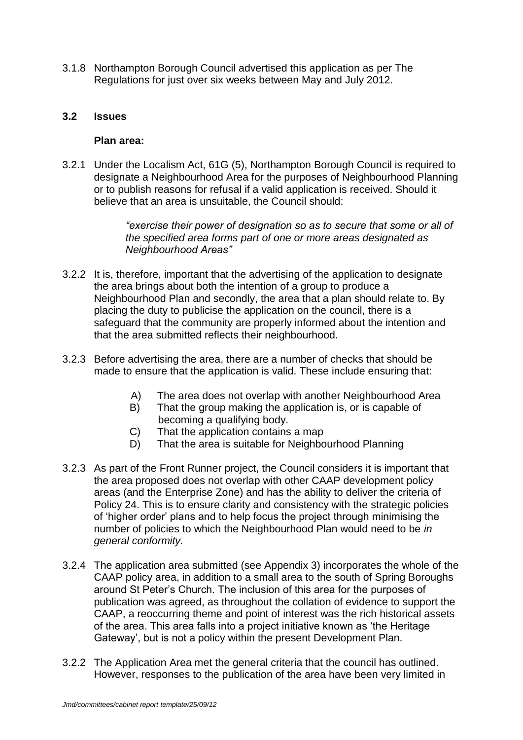3.1.8 Northampton Borough Council advertised this application as per The Regulations for just over six weeks between May and July 2012.

#### **3.2 Issues**

#### **Plan area:**

3.2.1 Under the Localism Act, 61G (5), Northampton Borough Council is required to designate a Neighbourhood Area for the purposes of Neighbourhood Planning or to publish reasons for refusal if a valid application is received. Should it believe that an area is unsuitable, the Council should:

> *"exercise their power of designation so as to secure that some or all of the specified area forms part of one or more areas designated as Neighbourhood Areas"*

- 3.2.2 It is, therefore, important that the advertising of the application to designate the area brings about both the intention of a group to produce a Neighbourhood Plan and secondly, the area that a plan should relate to. By placing the duty to publicise the application on the council, there is a safeguard that the community are properly informed about the intention and that the area submitted reflects their neighbourhood.
- 3.2.3 Before advertising the area, there are a number of checks that should be made to ensure that the application is valid. These include ensuring that:
	- A) The area does not overlap with another Neighbourhood Area
	- B) That the group making the application is, or is capable of becoming a qualifying body.
	- C) That the application contains a map
	- D) That the area is suitable for Neighbourhood Planning
- 3.2.3 As part of the Front Runner project, the Council considers it is important that the area proposed does not overlap with other CAAP development policy areas (and the Enterprise Zone) and has the ability to deliver the criteria of Policy 24. This is to ensure clarity and consistency with the strategic policies of "higher order" plans and to help focus the project through minimising the number of policies to which the Neighbourhood Plan would need to be *in general conformity.*
- 3.2.4 The application area submitted (see Appendix 3) incorporates the whole of the CAAP policy area, in addition to a small area to the south of Spring Boroughs around St Peter"s Church. The inclusion of this area for the purposes of publication was agreed, as throughout the collation of evidence to support the CAAP, a reoccurring theme and point of interest was the rich historical assets of the area. This area falls into a project initiative known as "the Heritage Gateway", but is not a policy within the present Development Plan.
- 3.2.2 The Application Area met the general criteria that the council has outlined. However, responses to the publication of the area have been very limited in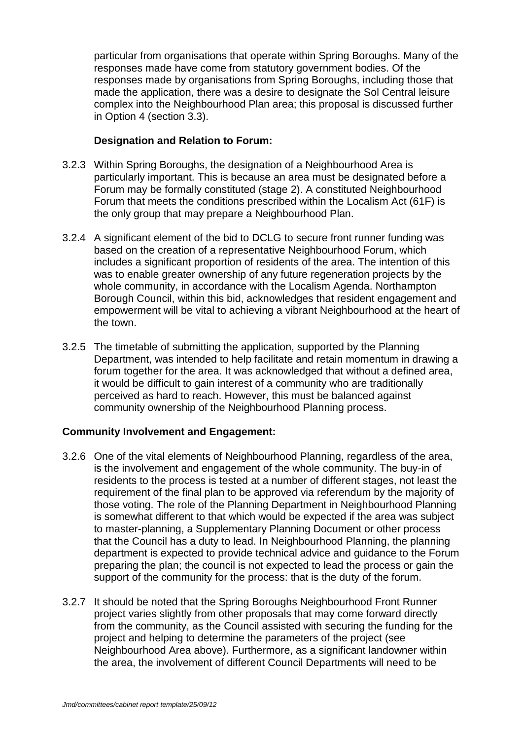particular from organisations that operate within Spring Boroughs. Many of the responses made have come from statutory government bodies. Of the responses made by organisations from Spring Boroughs, including those that made the application, there was a desire to designate the Sol Central leisure complex into the Neighbourhood Plan area; this proposal is discussed further in Option 4 (section 3.3).

# **Designation and Relation to Forum:**

- 3.2.3 Within Spring Boroughs, the designation of a Neighbourhood Area is particularly important. This is because an area must be designated before a Forum may be formally constituted (stage 2). A constituted Neighbourhood Forum that meets the conditions prescribed within the Localism Act (61F) is the only group that may prepare a Neighbourhood Plan.
- 3.2.4 A significant element of the bid to DCLG to secure front runner funding was based on the creation of a representative Neighbourhood Forum, which includes a significant proportion of residents of the area. The intention of this was to enable greater ownership of any future regeneration projects by the whole community, in accordance with the Localism Agenda. Northampton Borough Council, within this bid, acknowledges that resident engagement and empowerment will be vital to achieving a vibrant Neighbourhood at the heart of the town.
- 3.2.5 The timetable of submitting the application, supported by the Planning Department, was intended to help facilitate and retain momentum in drawing a forum together for the area. It was acknowledged that without a defined area, it would be difficult to gain interest of a community who are traditionally perceived as hard to reach. However, this must be balanced against community ownership of the Neighbourhood Planning process.

#### **Community Involvement and Engagement:**

- 3.2.6 One of the vital elements of Neighbourhood Planning, regardless of the area, is the involvement and engagement of the whole community. The buy-in of residents to the process is tested at a number of different stages, not least the requirement of the final plan to be approved via referendum by the majority of those voting. The role of the Planning Department in Neighbourhood Planning is somewhat different to that which would be expected if the area was subject to master-planning, a Supplementary Planning Document or other process that the Council has a duty to lead. In Neighbourhood Planning, the planning department is expected to provide technical advice and guidance to the Forum preparing the plan; the council is not expected to lead the process or gain the support of the community for the process: that is the duty of the forum.
- 3.2.7 It should be noted that the Spring Boroughs Neighbourhood Front Runner project varies slightly from other proposals that may come forward directly from the community, as the Council assisted with securing the funding for the project and helping to determine the parameters of the project (see Neighbourhood Area above). Furthermore, as a significant landowner within the area, the involvement of different Council Departments will need to be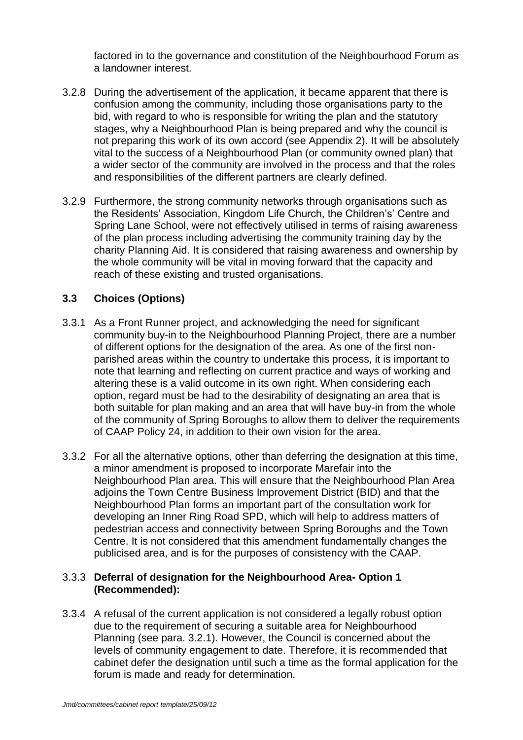factored in to the governance and constitution of the Neighbourhood Forum as a landowner interest.

- 3.2.8 During the advertisement of the application, it became apparent that there is confusion among the community, including those organisations party to the bid, with regard to who is responsible for writing the plan and the statutory stages, why a Neighbourhood Plan is being prepared and why the council is not preparing this work of its own accord (see Appendix 2). It will be absolutely vital to the success of a Neighbourhood Plan (or community owned plan) that a wider sector of the community are involved in the process and that the roles and responsibilities of the different partners are clearly defined.
- 3.2.9 Furthermore, the strong community networks through organisations such as the Residents" Association, Kingdom Life Church, the Children"s" Centre and Spring Lane School, were not effectively utilised in terms of raising awareness of the plan process including advertising the community training day by the charity Planning Aid. It is considered that raising awareness and ownership by the whole community will be vital in moving forward that the capacity and reach of these existing and trusted organisations.

# **3.3 Choices (Options)**

- 3.3.1 As a Front Runner project, and acknowledging the need for significant community buy-in to the Neighbourhood Planning Project, there are a number of different options for the designation of the area. As one of the first nonparished areas within the country to undertake this process, it is important to note that learning and reflecting on current practice and ways of working and altering these is a valid outcome in its own right. When considering each option, regard must be had to the desirability of designating an area that is both suitable for plan making and an area that will have buy-in from the whole of the community of Spring Boroughs to allow them to deliver the requirements of CAAP Policy 24, in addition to their own vision for the area.
- 3.3.2 For all the alternative options, other than deferring the designation at this time, a minor amendment is proposed to incorporate Marefair into the Neighbourhood Plan area. This will ensure that the Neighbourhood Plan Area adjoins the Town Centre Business Improvement District (BID) and that the Neighbourhood Plan forms an important part of the consultation work for developing an Inner Ring Road SPD, which will help to address matters of pedestrian access and connectivity between Spring Boroughs and the Town Centre. It is not considered that this amendment fundamentally changes the publicised area, and is for the purposes of consistency with the CAAP.

#### 3.3.3 **Deferral of designation for the Neighbourhood Area- Option 1 (Recommended):**

3.3.4 A refusal of the current application is not considered a legally robust option due to the requirement of securing a suitable area for Neighbourhood Planning (see para. 3.2.1). However, the Council is concerned about the levels of community engagement to date. Therefore, it is recommended that cabinet defer the designation until such a time as the formal application for the forum is made and ready for determination.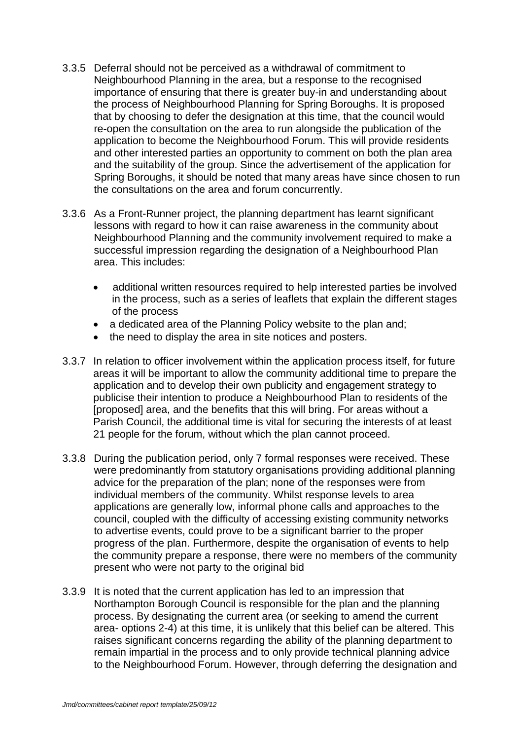- 3.3.5 Deferral should not be perceived as a withdrawal of commitment to Neighbourhood Planning in the area, but a response to the recognised importance of ensuring that there is greater buy-in and understanding about the process of Neighbourhood Planning for Spring Boroughs. It is proposed that by choosing to defer the designation at this time, that the council would re-open the consultation on the area to run alongside the publication of the application to become the Neighbourhood Forum. This will provide residents and other interested parties an opportunity to comment on both the plan area and the suitability of the group. Since the advertisement of the application for Spring Boroughs, it should be noted that many areas have since chosen to run the consultations on the area and forum concurrently.
- 3.3.6 As a Front-Runner project, the planning department has learnt significant lessons with regard to how it can raise awareness in the community about Neighbourhood Planning and the community involvement required to make a successful impression regarding the designation of a Neighbourhood Plan area. This includes:
	- additional written resources required to help interested parties be involved in the process, such as a series of leaflets that explain the different stages of the process
	- a dedicated area of the Planning Policy website to the plan and;
	- the need to display the area in site notices and posters.
- 3.3.7 In relation to officer involvement within the application process itself, for future areas it will be important to allow the community additional time to prepare the application and to develop their own publicity and engagement strategy to publicise their intention to produce a Neighbourhood Plan to residents of the [proposed] area, and the benefits that this will bring. For areas without a Parish Council, the additional time is vital for securing the interests of at least 21 people for the forum, without which the plan cannot proceed.
- 3.3.8 During the publication period, only 7 formal responses were received. These were predominantly from statutory organisations providing additional planning advice for the preparation of the plan; none of the responses were from individual members of the community. Whilst response levels to area applications are generally low, informal phone calls and approaches to the council, coupled with the difficulty of accessing existing community networks to advertise events, could prove to be a significant barrier to the proper progress of the plan. Furthermore, despite the organisation of events to help the community prepare a response, there were no members of the community present who were not party to the original bid
- 3.3.9 It is noted that the current application has led to an impression that Northampton Borough Council is responsible for the plan and the planning process. By designating the current area (or seeking to amend the current area- options 2-4) at this time, it is unlikely that this belief can be altered. This raises significant concerns regarding the ability of the planning department to remain impartial in the process and to only provide technical planning advice to the Neighbourhood Forum. However, through deferring the designation and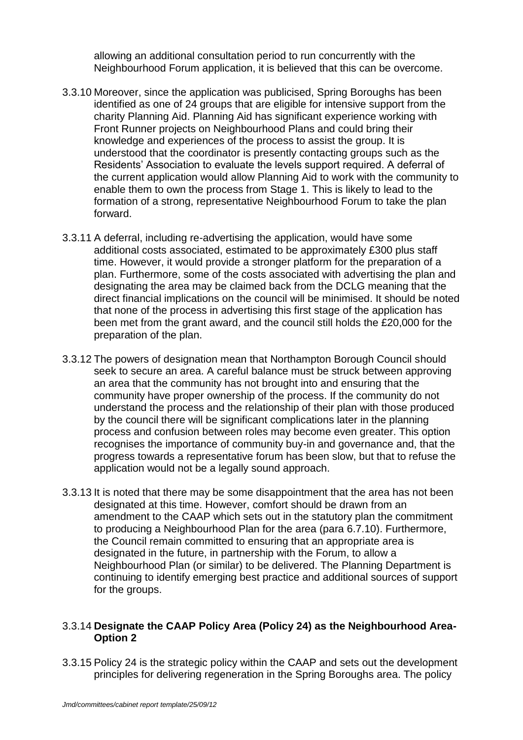allowing an additional consultation period to run concurrently with the Neighbourhood Forum application, it is believed that this can be overcome.

- 3.3.10 Moreover, since the application was publicised, Spring Boroughs has been identified as one of 24 groups that are eligible for intensive support from the charity Planning Aid. Planning Aid has significant experience working with Front Runner projects on Neighbourhood Plans and could bring their knowledge and experiences of the process to assist the group. It is understood that the coordinator is presently contacting groups such as the Residents" Association to evaluate the levels support required. A deferral of the current application would allow Planning Aid to work with the community to enable them to own the process from Stage 1. This is likely to lead to the formation of a strong, representative Neighbourhood Forum to take the plan forward.
- 3.3.11 A deferral, including re-advertising the application, would have some additional costs associated, estimated to be approximately £300 plus staff time. However, it would provide a stronger platform for the preparation of a plan. Furthermore, some of the costs associated with advertising the plan and designating the area may be claimed back from the DCLG meaning that the direct financial implications on the council will be minimised. It should be noted that none of the process in advertising this first stage of the application has been met from the grant award, and the council still holds the £20,000 for the preparation of the plan.
- 3.3.12 The powers of designation mean that Northampton Borough Council should seek to secure an area. A careful balance must be struck between approving an area that the community has not brought into and ensuring that the community have proper ownership of the process. If the community do not understand the process and the relationship of their plan with those produced by the council there will be significant complications later in the planning process and confusion between roles may become even greater. This option recognises the importance of community buy-in and governance and, that the progress towards a representative forum has been slow, but that to refuse the application would not be a legally sound approach.
- 3.3.13 It is noted that there may be some disappointment that the area has not been designated at this time. However, comfort should be drawn from an amendment to the CAAP which sets out in the statutory plan the commitment to producing a Neighbourhood Plan for the area (para 6.7.10). Furthermore, the Council remain committed to ensuring that an appropriate area is designated in the future, in partnership with the Forum, to allow a Neighbourhood Plan (or similar) to be delivered. The Planning Department is continuing to identify emerging best practice and additional sources of support for the groups.

#### 3.3.14 **Designate the CAAP Policy Area (Policy 24) as the Neighbourhood Area-Option 2**

3.3.15 Policy 24 is the strategic policy within the CAAP and sets out the development principles for delivering regeneration in the Spring Boroughs area. The policy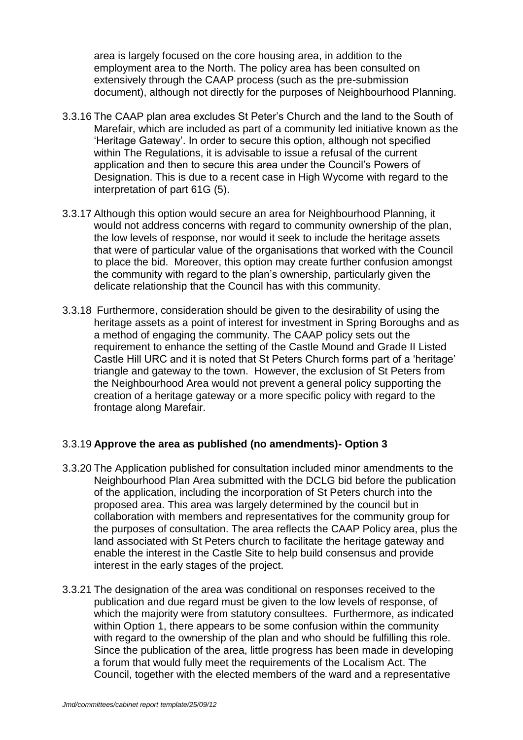area is largely focused on the core housing area, in addition to the employment area to the North. The policy area has been consulted on extensively through the CAAP process (such as the pre-submission document), although not directly for the purposes of Neighbourhood Planning.

- 3.3.16 The CAAP plan area excludes St Peter"s Church and the land to the South of Marefair, which are included as part of a community led initiative known as the "Heritage Gateway". In order to secure this option, although not specified within The Regulations, it is advisable to issue a refusal of the current application and then to secure this area under the Council"s Powers of Designation. This is due to a recent case in High Wycome with regard to the interpretation of part 61G (5).
- 3.3.17 Although this option would secure an area for Neighbourhood Planning, it would not address concerns with regard to community ownership of the plan, the low levels of response, nor would it seek to include the heritage assets that were of particular value of the organisations that worked with the Council to place the bid. Moreover, this option may create further confusion amongst the community with regard to the plan"s ownership, particularly given the delicate relationship that the Council has with this community.
- 3.3.18 Furthermore, consideration should be given to the desirability of using the heritage assets as a point of interest for investment in Spring Boroughs and as a method of engaging the community. The CAAP policy sets out the requirement to enhance the setting of the Castle Mound and Grade II Listed Castle Hill URC and it is noted that St Peters Church forms part of a "heritage" triangle and gateway to the town. However, the exclusion of St Peters from the Neighbourhood Area would not prevent a general policy supporting the creation of a heritage gateway or a more specific policy with regard to the frontage along Marefair.

# 3.3.19 **Approve the area as published (no amendments)- Option 3**

- 3.3.20 The Application published for consultation included minor amendments to the Neighbourhood Plan Area submitted with the DCLG bid before the publication of the application, including the incorporation of St Peters church into the proposed area. This area was largely determined by the council but in collaboration with members and representatives for the community group for the purposes of consultation. The area reflects the CAAP Policy area, plus the land associated with St Peters church to facilitate the heritage gateway and enable the interest in the Castle Site to help build consensus and provide interest in the early stages of the project.
- 3.3.21 The designation of the area was conditional on responses received to the publication and due regard must be given to the low levels of response, of which the majority were from statutory consultees. Furthermore, as indicated within Option 1, there appears to be some confusion within the community with regard to the ownership of the plan and who should be fulfilling this role. Since the publication of the area, little progress has been made in developing a forum that would fully meet the requirements of the Localism Act. The Council, together with the elected members of the ward and a representative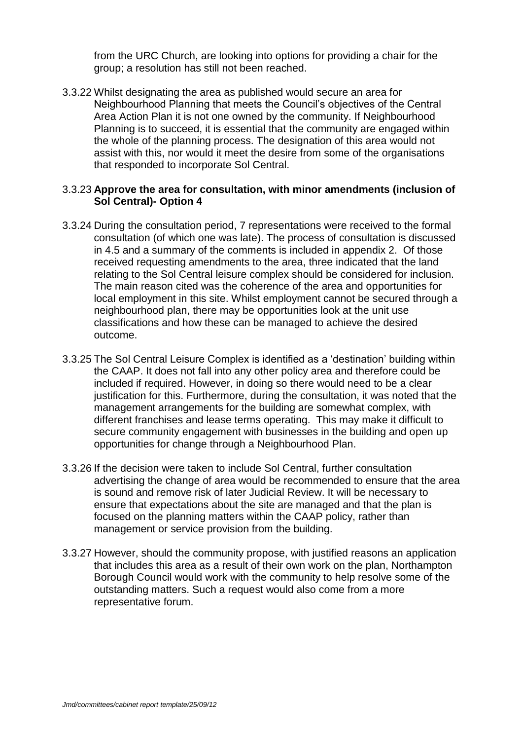from the URC Church, are looking into options for providing a chair for the group; a resolution has still not been reached.

3.3.22 Whilst designating the area as published would secure an area for Neighbourhood Planning that meets the Council"s objectives of the Central Area Action Plan it is not one owned by the community. If Neighbourhood Planning is to succeed, it is essential that the community are engaged within the whole of the planning process. The designation of this area would not assist with this, nor would it meet the desire from some of the organisations that responded to incorporate Sol Central.

#### 3.3.23 **Approve the area for consultation, with minor amendments (inclusion of Sol Central)- Option 4**

- 3.3.24 During the consultation period, 7 representations were received to the formal consultation (of which one was late). The process of consultation is discussed in 4.5 and a summary of the comments is included in appendix 2. Of those received requesting amendments to the area, three indicated that the land relating to the Sol Central leisure complex should be considered for inclusion. The main reason cited was the coherence of the area and opportunities for local employment in this site. Whilst employment cannot be secured through a neighbourhood plan, there may be opportunities look at the unit use classifications and how these can be managed to achieve the desired outcome.
- 3.3.25 The Sol Central Leisure Complex is identified as a "destination" building within the CAAP. It does not fall into any other policy area and therefore could be included if required. However, in doing so there would need to be a clear justification for this. Furthermore, during the consultation, it was noted that the management arrangements for the building are somewhat complex, with different franchises and lease terms operating. This may make it difficult to secure community engagement with businesses in the building and open up opportunities for change through a Neighbourhood Plan.
- 3.3.26 If the decision were taken to include Sol Central, further consultation advertising the change of area would be recommended to ensure that the area is sound and remove risk of later Judicial Review. It will be necessary to ensure that expectations about the site are managed and that the plan is focused on the planning matters within the CAAP policy, rather than management or service provision from the building.
- 3.3.27 However, should the community propose, with justified reasons an application that includes this area as a result of their own work on the plan, Northampton Borough Council would work with the community to help resolve some of the outstanding matters. Such a request would also come from a more representative forum.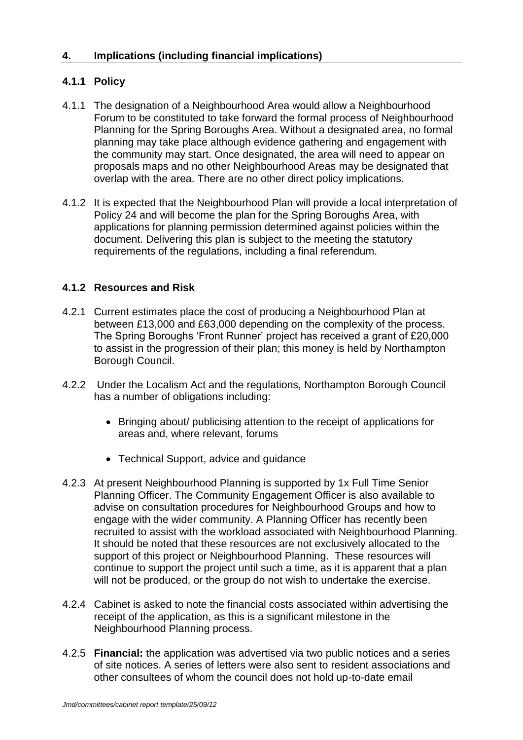# **4.1.1 Policy**

- 4.1.1 The designation of a Neighbourhood Area would allow a Neighbourhood Forum to be constituted to take forward the formal process of Neighbourhood Planning for the Spring Boroughs Area. Without a designated area, no formal planning may take place although evidence gathering and engagement with the community may start. Once designated, the area will need to appear on proposals maps and no other Neighbourhood Areas may be designated that overlap with the area. There are no other direct policy implications.
- 4.1.2 It is expected that the Neighbourhood Plan will provide a local interpretation of Policy 24 and will become the plan for the Spring Boroughs Area, with applications for planning permission determined against policies within the document. Delivering this plan is subject to the meeting the statutory requirements of the regulations, including a final referendum.

# **4.1.2 Resources and Risk**

- 4.2.1 Current estimates place the cost of producing a Neighbourhood Plan at between £13,000 and £63,000 depending on the complexity of the process. The Spring Boroughs "Front Runner" project has received a grant of £20,000 to assist in the progression of their plan; this money is held by Northampton Borough Council.
- 4.2.2 Under the Localism Act and the regulations, Northampton Borough Council has a number of obligations including:
	- Bringing about/ publicising attention to the receipt of applications for areas and, where relevant, forums
	- Technical Support, advice and guidance
- 4.2.3 At present Neighbourhood Planning is supported by 1x Full Time Senior Planning Officer. The Community Engagement Officer is also available to advise on consultation procedures for Neighbourhood Groups and how to engage with the wider community. A Planning Officer has recently been recruited to assist with the workload associated with Neighbourhood Planning. It should be noted that these resources are not exclusively allocated to the support of this project or Neighbourhood Planning. These resources will continue to support the project until such a time, as it is apparent that a plan will not be produced, or the group do not wish to undertake the exercise.
- 4.2.4 Cabinet is asked to note the financial costs associated within advertising the receipt of the application, as this is a significant milestone in the Neighbourhood Planning process.
- 4.2.5 **Financial:** the application was advertised via two public notices and a series of site notices. A series of letters were also sent to resident associations and other consultees of whom the council does not hold up-to-date email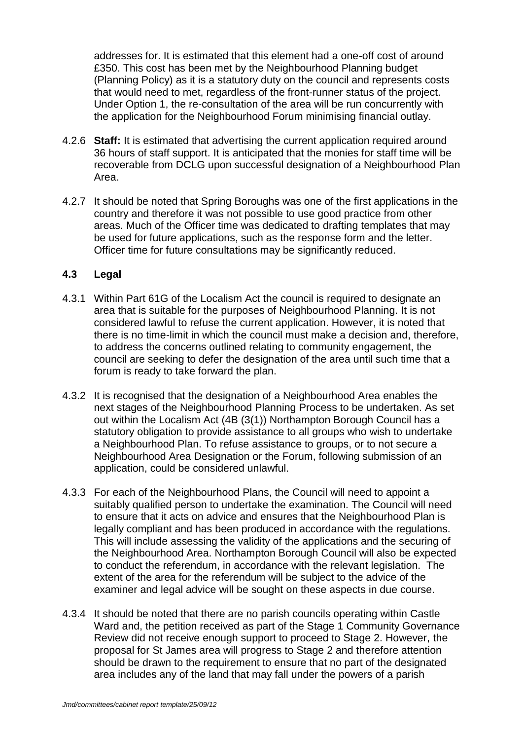addresses for. It is estimated that this element had a one-off cost of around £350. This cost has been met by the Neighbourhood Planning budget (Planning Policy) as it is a statutory duty on the council and represents costs that would need to met, regardless of the front-runner status of the project. Under Option 1, the re-consultation of the area will be run concurrently with the application for the Neighbourhood Forum minimising financial outlay.

- 4.2.6 **Staff:** It is estimated that advertising the current application required around 36 hours of staff support. It is anticipated that the monies for staff time will be recoverable from DCLG upon successful designation of a Neighbourhood Plan Area.
- 4.2.7 It should be noted that Spring Boroughs was one of the first applications in the country and therefore it was not possible to use good practice from other areas. Much of the Officer time was dedicated to drafting templates that may be used for future applications, such as the response form and the letter. Officer time for future consultations may be significantly reduced.

#### **4.3 Legal**

- 4.3.1 Within Part 61G of the Localism Act the council is required to designate an area that is suitable for the purposes of Neighbourhood Planning. It is not considered lawful to refuse the current application. However, it is noted that there is no time-limit in which the council must make a decision and, therefore, to address the concerns outlined relating to community engagement, the council are seeking to defer the designation of the area until such time that a forum is ready to take forward the plan.
- 4.3.2 It is recognised that the designation of a Neighbourhood Area enables the next stages of the Neighbourhood Planning Process to be undertaken. As set out within the Localism Act (4B (3(1)) Northampton Borough Council has a statutory obligation to provide assistance to all groups who wish to undertake a Neighbourhood Plan. To refuse assistance to groups, or to not secure a Neighbourhood Area Designation or the Forum, following submission of an application, could be considered unlawful.
- 4.3.3 For each of the Neighbourhood Plans, the Council will need to appoint a suitably qualified person to undertake the examination. The Council will need to ensure that it acts on advice and ensures that the Neighbourhood Plan is legally compliant and has been produced in accordance with the regulations. This will include assessing the validity of the applications and the securing of the Neighbourhood Area. Northampton Borough Council will also be expected to conduct the referendum, in accordance with the relevant legislation. The extent of the area for the referendum will be subject to the advice of the examiner and legal advice will be sought on these aspects in due course.
- 4.3.4 It should be noted that there are no parish councils operating within Castle Ward and, the petition received as part of the Stage 1 Community Governance Review did not receive enough support to proceed to Stage 2. However, the proposal for St James area will progress to Stage 2 and therefore attention should be drawn to the requirement to ensure that no part of the designated area includes any of the land that may fall under the powers of a parish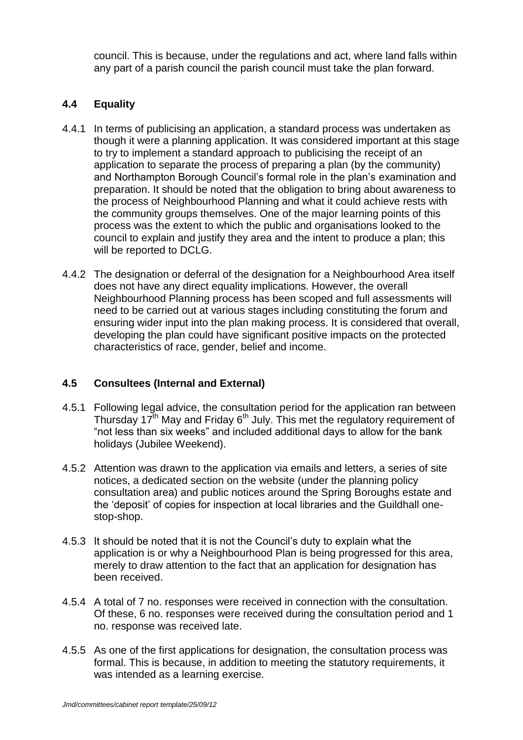council. This is because, under the regulations and act, where land falls within any part of a parish council the parish council must take the plan forward.

# **4.4 Equality**

- 4.4.1 In terms of publicising an application, a standard process was undertaken as though it were a planning application. It was considered important at this stage to try to implement a standard approach to publicising the receipt of an application to separate the process of preparing a plan (by the community) and Northampton Borough Council"s formal role in the plan"s examination and preparation. It should be noted that the obligation to bring about awareness to the process of Neighbourhood Planning and what it could achieve rests with the community groups themselves. One of the major learning points of this process was the extent to which the public and organisations looked to the council to explain and justify they area and the intent to produce a plan; this will be reported to DCLG.
- 4.4.2 The designation or deferral of the designation for a Neighbourhood Area itself does not have any direct equality implications. However, the overall Neighbourhood Planning process has been scoped and full assessments will need to be carried out at various stages including constituting the forum and ensuring wider input into the plan making process. It is considered that overall, developing the plan could have significant positive impacts on the protected characteristics of race, gender, belief and income.

#### **4.5 Consultees (Internal and External)**

- 4.5.1 Following legal advice, the consultation period for the application ran between Thursday 17<sup>th</sup> May and Friday 6<sup>th</sup> July. This met the regulatory requirement of "not less than six weeks" and included additional days to allow for the bank holidays (Jubilee Weekend).
- 4.5.2 Attention was drawn to the application via emails and letters, a series of site notices, a dedicated section on the website (under the planning policy consultation area) and public notices around the Spring Boroughs estate and the "deposit" of copies for inspection at local libraries and the Guildhall onestop-shop.
- 4.5.3 It should be noted that it is not the Council"s duty to explain what the application is or why a Neighbourhood Plan is being progressed for this area, merely to draw attention to the fact that an application for designation has been received.
- 4.5.4 A total of 7 no. responses were received in connection with the consultation. Of these, 6 no. responses were received during the consultation period and 1 no. response was received late.
- 4.5.5 As one of the first applications for designation, the consultation process was formal. This is because, in addition to meeting the statutory requirements, it was intended as a learning exercise.